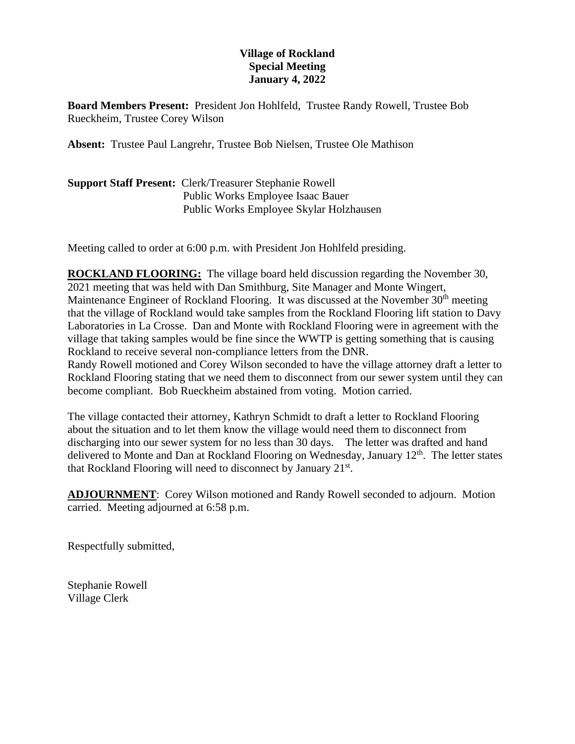## **Village of Rockland Special Meeting January 4, 2022**

**Board Members Present:** President Jon Hohlfeld, Trustee Randy Rowell, Trustee Bob Rueckheim, Trustee Corey Wilson

**Absent:** Trustee Paul Langrehr, Trustee Bob Nielsen, Trustee Ole Mathison

| <b>Support Staff Present: Clerk/Treasurer Stephanie Rowell</b> |
|----------------------------------------------------------------|
| Public Works Employee Isaac Bauer                              |
| Public Works Employee Skylar Holzhausen                        |

Meeting called to order at 6:00 p.m. with President Jon Hohlfeld presiding.

**ROCKLAND FLOORING:** The village board held discussion regarding the November 30, 2021 meeting that was held with Dan Smithburg, Site Manager and Monte Wingert, Maintenance Engineer of Rockland Flooring. It was discussed at the November 30<sup>th</sup> meeting that the village of Rockland would take samples from the Rockland Flooring lift station to Davy Laboratories in La Crosse. Dan and Monte with Rockland Flooring were in agreement with the village that taking samples would be fine since the WWTP is getting something that is causing Rockland to receive several non-compliance letters from the DNR.

Randy Rowell motioned and Corey Wilson seconded to have the village attorney draft a letter to Rockland Flooring stating that we need them to disconnect from our sewer system until they can become compliant. Bob Rueckheim abstained from voting. Motion carried.

The village contacted their attorney, Kathryn Schmidt to draft a letter to Rockland Flooring about the situation and to let them know the village would need them to disconnect from discharging into our sewer system for no less than 30 days. The letter was drafted and hand delivered to Monte and Dan at Rockland Flooring on Wednesday, January 12<sup>th</sup>. The letter states that Rockland Flooring will need to disconnect by January 21<sup>st</sup>.

**ADJOURNMENT**: Corey Wilson motioned and Randy Rowell seconded to adjourn. Motion carried. Meeting adjourned at 6:58 p.m.

Respectfully submitted,

Stephanie Rowell Village Clerk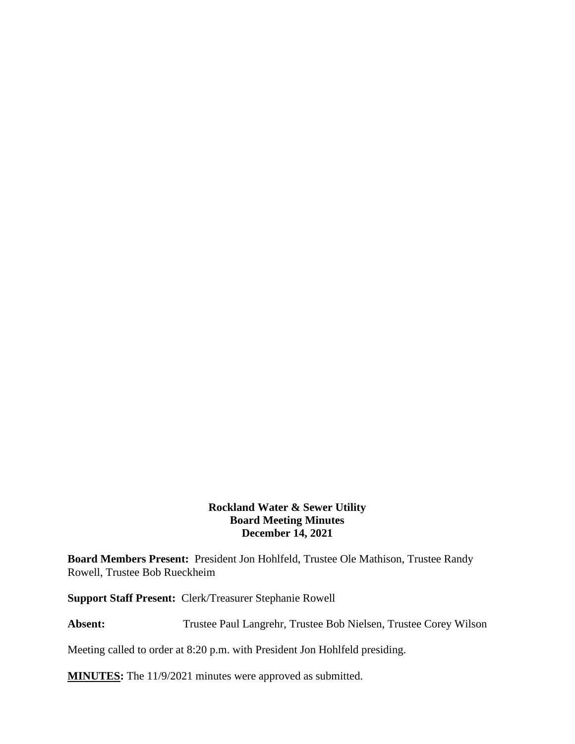## **Rockland Water & Sewer Utility Board Meeting Minutes December 14, 2021**

**Board Members Present:** President Jon Hohlfeld, Trustee Ole Mathison, Trustee Randy Rowell, Trustee Bob Rueckheim

**Support Staff Present:** Clerk/Treasurer Stephanie Rowell

Absent: Trustee Paul Langrehr, Trustee Bob Nielsen, Trustee Corey Wilson

Meeting called to order at 8:20 p.m. with President Jon Hohlfeld presiding.

**MINUTES:** The 11/9/2021 minutes were approved as submitted.